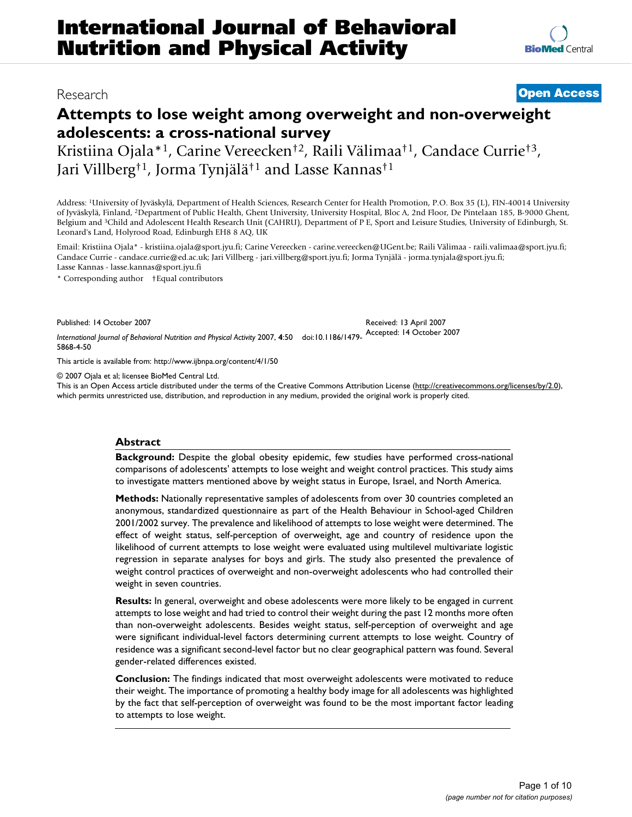# Research **[Open Access](http://www.biomedcentral.com/info/about/charter/)**

# **Attempts to lose weight among overweight and non-overweight adolescents: a cross-national survey**

Kristiina Ojala\*1, Carine Vereecken†2, Raili Välimaa†1, Candace Currie†3, Jari Villberg†1, Jorma Tynjälä†1 and Lasse Kannas†1

Address: 1University of Jyväskylä, Department of Health Sciences, Research Center for Health Promotion, P.O. Box 35 (L), FIN-40014 University of Jyväskylä, Finland, 2Department of Public Health, Ghent University, University Hospital, Bloc A, 2nd Floor, De Pintelaan 185, B-9000 Ghent, Belgium and 3Child and Adolescent Health Research Unit (CAHRU), Department of P E, Sport and Leisure Studies, University of Edinburgh, St. Leonard's Land, Holyrood Road, Edinburgh EH8 8 AQ, UK

Email: Kristiina Ojala\* - kristiina.ojala@sport.jyu.fi; Carine Vereecken - carine.vereecken@UGent.be; Raili Välimaa - raili.valimaa@sport.jyu.fi; Candace Currie - candace.currie@ed.ac.uk; Jari Villberg - jari.villberg@sport.jyu.fi; Jorma Tynjälä - jorma.tynjala@sport.jyu.fi; Lasse Kannas - lasse.kannas@sport.jyu.fi

\* Corresponding author †Equal contributors

Published: 14 October 2007

*International Journal of Behavioral Nutrition and Physical Activity* 2007, **4**:50 doi:10.1186/1479- Accepted: 14 October 2007 5868-4-50 Received: 13 April 2007

[This article is available from: http://www.ijbnpa.org/content/4/1/50](http://www.ijbnpa.org/content/4/1/50)

© 2007 Ojala et al; licensee BioMed Central Ltd.

This is an Open Access article distributed under the terms of the Creative Commons Attribution License [\(http://creativecommons.org/licenses/by/2.0\)](http://creativecommons.org/licenses/by/2.0), which permits unrestricted use, distribution, and reproduction in any medium, provided the original work is properly cited.

### **Abstract**

**Background:** Despite the global obesity epidemic, few studies have performed cross-national comparisons of adolescents' attempts to lose weight and weight control practices. This study aims to investigate matters mentioned above by weight status in Europe, Israel, and North America.

**Methods:** Nationally representative samples of adolescents from over 30 countries completed an anonymous, standardized questionnaire as part of the Health Behaviour in School-aged Children 2001/2002 survey. The prevalence and likelihood of attempts to lose weight were determined. The effect of weight status, self-perception of overweight, age and country of residence upon the likelihood of current attempts to lose weight were evaluated using multilevel multivariate logistic regression in separate analyses for boys and girls. The study also presented the prevalence of weight control practices of overweight and non-overweight adolescents who had controlled their weight in seven countries.

**Results:** In general, overweight and obese adolescents were more likely to be engaged in current attempts to lose weight and had tried to control their weight during the past 12 months more often than non-overweight adolescents. Besides weight status, self-perception of overweight and age were significant individual-level factors determining current attempts to lose weight. Country of residence was a significant second-level factor but no clear geographical pattern was found. Several gender-related differences existed.

**Conclusion:** The findings indicated that most overweight adolescents were motivated to reduce their weight. The importance of promoting a healthy body image for all adolescents was highlighted by the fact that self-perception of overweight was found to be the most important factor leading to attempts to lose weight.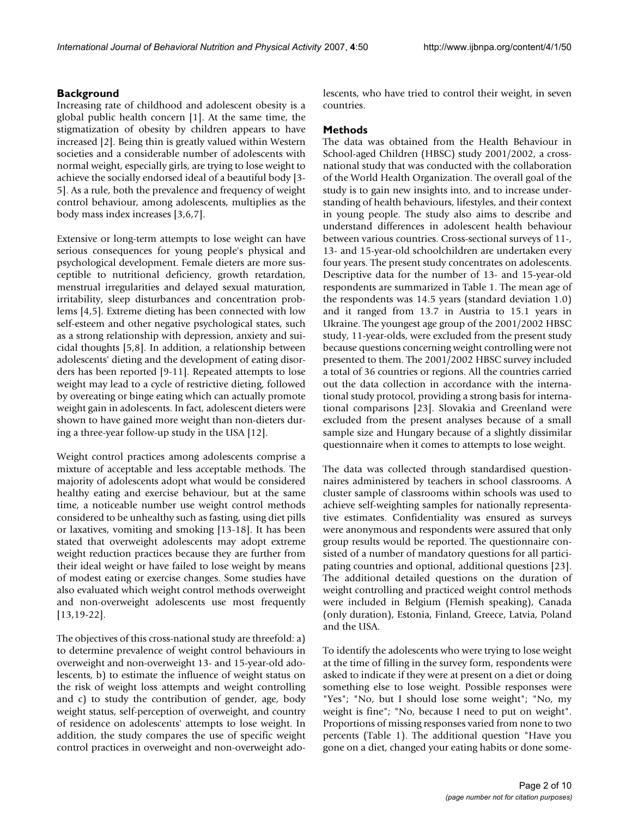### **Background**

Increasing rate of childhood and adolescent obesity is a global public health concern [1]. At the same time, the stigmatization of obesity by children appears to have increased [2]. Being thin is greatly valued within Western societies and a considerable number of adolescents with normal weight, especially girls, are trying to lose weight to achieve the socially endorsed ideal of a beautiful body [3- 5]. As a rule, both the prevalence and frequency of weight control behaviour, among adolescents, multiplies as the body mass index increases [3,6,7].

Extensive or long-term attempts to lose weight can have serious consequences for young people's physical and psychological development. Female dieters are more susceptible to nutritional deficiency, growth retardation, menstrual irregularities and delayed sexual maturation, irritability, sleep disturbances and concentration problems [4,5]. Extreme dieting has been connected with low self-esteem and other negative psychological states, such as a strong relationship with depression, anxiety and suicidal thoughts [5,8]. In addition, a relationship between adolescents' dieting and the development of eating disorders has been reported [9-11]. Repeated attempts to lose weight may lead to a cycle of restrictive dieting, followed by overeating or binge eating which can actually promote weight gain in adolescents. In fact, adolescent dieters were shown to have gained more weight than non-dieters during a three-year follow-up study in the USA [12].

Weight control practices among adolescents comprise a mixture of acceptable and less acceptable methods. The majority of adolescents adopt what would be considered healthy eating and exercise behaviour, but at the same time, a noticeable number use weight control methods considered to be unhealthy such as fasting, using diet pills or laxatives, vomiting and smoking [13-18]. It has been stated that overweight adolescents may adopt extreme weight reduction practices because they are further from their ideal weight or have failed to lose weight by means of modest eating or exercise changes. Some studies have also evaluated which weight control methods overweight and non-overweight adolescents use most frequently [13,19-22].

The objectives of this cross-national study are threefold: a) to determine prevalence of weight control behaviours in overweight and non-overweight 13- and 15-year-old adolescents, b) to estimate the influence of weight status on the risk of weight loss attempts and weight controlling and c) to study the contribution of gender, age, body weight status, self-perception of overweight, and country of residence on adolescents' attempts to lose weight. In addition, the study compares the use of specific weight control practices in overweight and non-overweight adolescents, who have tried to control their weight, in seven countries.

## **Methods**

The data was obtained from the Health Behaviour in School-aged Children (HBSC) study 2001/2002, a crossnational study that was conducted with the collaboration of the World Health Organization. The overall goal of the study is to gain new insights into, and to increase understanding of health behaviours, lifestyles, and their context in young people. The study also aims to describe and understand differences in adolescent health behaviour between various countries. Cross-sectional surveys of 11-, 13- and 15-year-old schoolchildren are undertaken every four years. The present study concentrates on adolescents. Descriptive data for the number of 13- and 15-year-old respondents are summarized in Table 1. The mean age of the respondents was 14.5 years (standard deviation 1.0) and it ranged from 13.7 in Austria to 15.1 years in Ukraine. The youngest age group of the 2001/2002 HBSC study, 11-year-olds, were excluded from the present study because questions concerning weight controlling were not presented to them. The 2001/2002 HBSC survey included a total of 36 countries or regions. All the countries carried out the data collection in accordance with the international study protocol, providing a strong basis for international comparisons [23]. Slovakia and Greenland were excluded from the present analyses because of a small sample size and Hungary because of a slightly dissimilar questionnaire when it comes to attempts to lose weight.

The data was collected through standardised questionnaires administered by teachers in school classrooms. A cluster sample of classrooms within schools was used to achieve self-weighting samples for nationally representative estimates. Confidentiality was ensured as surveys were anonymous and respondents were assured that only group results would be reported. The questionnaire consisted of a number of mandatory questions for all participating countries and optional, additional questions [23]. The additional detailed questions on the duration of weight controlling and practiced weight control methods were included in Belgium (Flemish speaking), Canada (only duration), Estonia, Finland, Greece, Latvia, Poland and the USA.

To identify the adolescents who were trying to lose weight at the time of filling in the survey form, respondents were asked to indicate if they were at present on a diet or doing something else to lose weight. Possible responses were "Yes"; "No, but I should lose some weight"; "No, my weight is fine"; "No, because I need to put on weight". Proportions of missing responses varied from none to two percents (Table 1). The additional question "Have you gone on a diet, changed your eating habits or done some-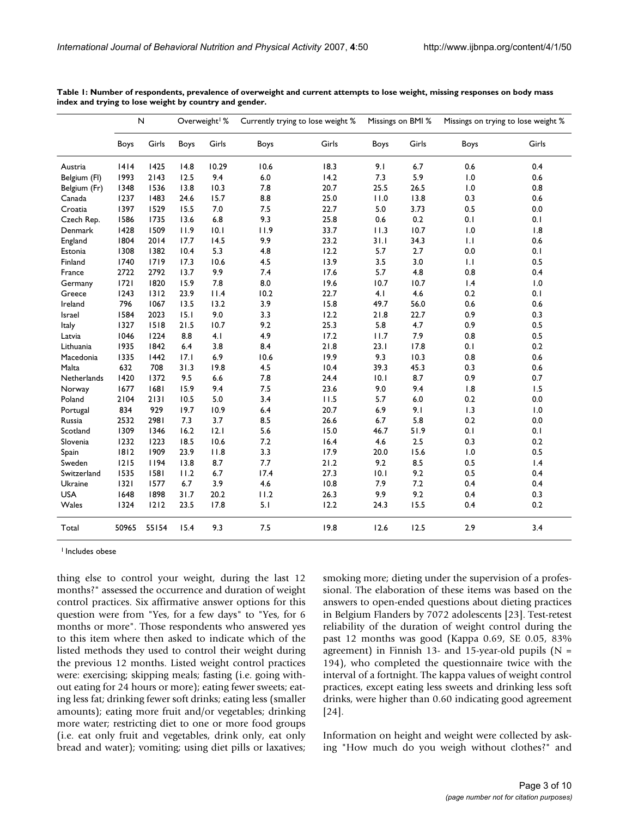|              | N      |        | Overweight <sup>1</sup> % |       | Currently trying to lose weight % |       | Missings on BMI % |       | Missings on trying to lose weight % |       |
|--------------|--------|--------|---------------------------|-------|-----------------------------------|-------|-------------------|-------|-------------------------------------|-------|
|              | Boys   | Girls  | Boys                      | Girls | Boys                              | Girls | Boys              | Girls | Boys                                | Girls |
| Austria      | 1414   | 1425   | 14.8                      | 10.29 | 10.6                              | 18.3  | 9.1               | 6.7   | 0.6                                 | 0.4   |
| Belgium (FI) | 1993   | 2143   | 12.5                      | 9.4   | $6.0\,$                           | 14.2  | 7.3               | 5.9   | 1.0                                 | 0.6   |
| Belgium (Fr) | 1348   | 1536   | 13.8                      | 10.3  | 7.8                               | 20.7  | 25.5              | 26.5  | 1.0                                 | 0.8   |
| Canada       | 1237   | 1483   | 24.6                      | 15.7  | 8.8                               | 25.0  | 11.0              | 13.8  | 0.3                                 | 0.6   |
| Croatia      | 1397   | 1529   | 15.5                      | 7.0   | 7.5                               | 22.7  | 5.0               | 3.73  | 0.5                                 | 0.0   |
| Czech Rep.   | 1586   | 1735   | 13.6                      | 6.8   | 9.3                               | 25.8  | 0.6               | 0.2   | 0.1                                 | 0.1   |
| Denmark      | 1428   | 1509   | 11.9                      | 10.1  | 11.9                              | 33.7  | 11.3              | 10.7  | 1.0                                 | 1.8   |
| England      | 1804   | 2014   | 17.7                      | 14.5  | 9.9                               | 23.2  | 31.1              | 34.3  | 1.1                                 | 0.6   |
| Estonia      | 1308   | 1382   | 10.4                      | 5.3   | 4.8                               | 12.2  | 5.7               | 2.7   | 0.0                                 | 0.1   |
| Finland      | 1740   | 1719   | 17.3                      | 10.6  | 4.5                               | 13.9  | 3.5               | 3.0   | 1.1                                 | 0.5   |
| France       | 2722   | 2792   | 13.7                      | 9.9   | 7.4                               | 17.6  | 5.7               | 4.8   | 0.8                                 | 0.4   |
| Germany      | 1721   | 1820   | 15.9                      | 7.8   | 8.0                               | 19.6  | 10.7              | 10.7  | 1.4                                 | 1.0   |
| Greece       | 1243   | $1312$ | 23.9                      | 11.4  | 10.2                              | 22.7  | 4.1               | 4.6   | 0.2                                 | 0.1   |
| Ireland      | 796    | 1067   | 13.5                      | 13.2  | 3.9                               | 15.8  | 49.7              | 56.0  | 0.6                                 | 0.6   |
| Israel       | 1584   | 2023   | 15.1                      | 9.0   | 3.3                               | 12.2  | 21.8              | 22.7  | 0.9                                 | 0.3   |
| Italy        | 1327   | 1518   | 21.5                      | 10.7  | 9.2                               | 25.3  | 5.8               | 4.7   | 0.9                                 | 0.5   |
| Latvia       | 1046   | 1224   | 8.8                       | 4.1   | 4.9                               | 17.2  | 11.7              | 7.9   | 0.8                                 | 0.5   |
| Lithuania    | 1935   | 1842   | 6.4                       | 3.8   | 8.4                               | 21.8  | 23.1              | 17.8  | 0.1                                 | 0.2   |
| Macedonia    | 1335   | 1442   | 17.1                      | 6.9   | 10.6                              | 19.9  | 9.3               | 10.3  | 0.8                                 | 0.6   |
| Malta        | 632    | 708    | 31.3                      | 19.8  | 4.5                               | 10.4  | 39.3              | 45.3  | 0.3                                 | 0.6   |
| Netherlands  | 1420   | 1372   | 9.5                       | 6.6   | 7.8                               | 24.4  | 10.1              | 8.7   | 0.9                                 | 0.7   |
| Norway       | 1677   | 1681   | 15.9                      | 9.4   | 7.5                               | 23.6  | 9.0               | 9.4   | 1.8                                 | 1.5   |
| Poland       | 2104   | 2131   | 10.5                      | 5.0   | 3.4                               | 11.5  | 5.7               | 6.0   | 0.2                                 | 0.0   |
| Portugal     | 834    | 929    | 19.7                      | 10.9  | 6.4                               | 20.7  | 6.9               | 9.1   | 1.3                                 | 1.0   |
| Russia       | 2532   | 2981   | 7.3                       | 3.7   | 8.5                               | 26.6  | 6.7               | 5.8   | 0.2                                 | 0.0   |
| Scotland     | 1309   | 1346   | 16.2                      | 12.1  | 5.6                               | 15.0  | 46.7              | 51.9  | 0.1                                 | 0.1   |
| Slovenia     | 1232   | 1223   | 18.5                      | 10.6  | 7.2                               | 16.4  | 4.6               | 2.5   | 0.3                                 | 0.2   |
| Spain        | 1812   | 1909   | 23.9                      | 11.8  | 3.3                               | 17.9  | 20.0              | 15.6  | 1.0                                 | 0.5   |
| Sweden       | $1215$ | 1194   | 13.8                      | 8.7   | 7.7                               | 21.2  | 9.2               | 8.5   | 0.5                                 | 1.4   |
| Switzerland  | 1535   | 1581   | 11.2                      | 6.7   | 17.4                              | 27.3  | 10.1              | 9.2   | 0.5                                 | 0.4   |
| Ukraine      | 1321   | 1577   | 6.7                       | 3.9   | 4.6                               | 10.8  | 7.9               | 7.2   | 0.4                                 | 0.4   |
| <b>USA</b>   | 1648   | 1898   | 31.7                      | 20.2  | 11.2                              | 26.3  | 9.9               | 9.2   | 0.4                                 | 0.3   |
| Wales        | 1324   | $1212$ | 23.5                      | 17.8  | 5.1                               | 12.2  | 24.3              | 15.5  | 0.4                                 | 0.2   |
| Total        | 50965  | 55154  | 15.4                      | 9.3   | 7.5                               | 19.8  | 12.6              | 12.5  | 2.9                                 | 3.4   |

**Table 1: Number of respondents, prevalence of overweight and current attempts to lose weight, missing responses on body mass index and trying to lose weight by country and gender.**

1 Includes obese

thing else to control your weight, during the last 12 months?" assessed the occurrence and duration of weight control practices. Six affirmative answer options for this question were from "Yes, for a few days" to "Yes, for 6 months or more". Those respondents who answered yes to this item where then asked to indicate which of the listed methods they used to control their weight during the previous 12 months. Listed weight control practices were: exercising; skipping meals; fasting (i.e. going without eating for 24 hours or more); eating fewer sweets; eating less fat; drinking fewer soft drinks; eating less (smaller amounts); eating more fruit and/or vegetables; drinking more water; restricting diet to one or more food groups (i.e. eat only fruit and vegetables, drink only, eat only bread and water); vomiting; using diet pills or laxatives; smoking more; dieting under the supervision of a professional. The elaboration of these items was based on the answers to open-ended questions about dieting practices in Belgium Flanders by 7072 adolescents [23]. Test-retest reliability of the duration of weight control during the past 12 months was good (Kappa 0.69, SE 0.05, 83% agreement) in Finnish 13- and 15-year-old pupils ( $N =$ 194), who completed the questionnaire twice with the interval of a fortnight. The kappa values of weight control practices, except eating less sweets and drinking less soft drinks, were higher than 0.60 indicating good agreement [24].

Information on height and weight were collected by asking "How much do you weigh without clothes?" and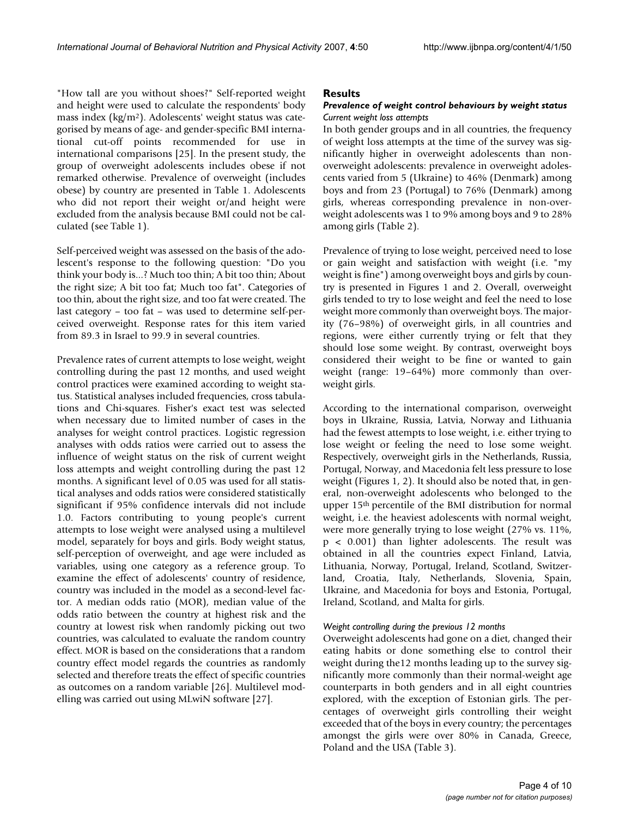"How tall are you without shoes?" Self-reported weight and height were used to calculate the respondents' body mass index ( $kg/m<sup>2</sup>$ ). Adolescents' weight status was categorised by means of age- and gender-specific BMI international cut-off points recommended for use in international comparisons [25]. In the present study, the group of overweight adolescents includes obese if not remarked otherwise. Prevalence of overweight (includes obese) by country are presented in Table 1. Adolescents who did not report their weight or/and height were excluded from the analysis because BMI could not be calculated (see Table 1).

Self-perceived weight was assessed on the basis of the adolescent's response to the following question: "Do you think your body is...? Much too thin; A bit too thin; About the right size; A bit too fat; Much too fat". Categories of too thin, about the right size, and too fat were created. The last category – too fat – was used to determine self-perceived overweight. Response rates for this item varied from 89.3 in Israel to 99.9 in several countries.

Prevalence rates of current attempts to lose weight, weight controlling during the past 12 months, and used weight control practices were examined according to weight status. Statistical analyses included frequencies, cross tabulations and Chi-squares. Fisher's exact test was selected when necessary due to limited number of cases in the analyses for weight control practices. Logistic regression analyses with odds ratios were carried out to assess the influence of weight status on the risk of current weight loss attempts and weight controlling during the past 12 months. A significant level of 0.05 was used for all statistical analyses and odds ratios were considered statistically significant if 95% confidence intervals did not include 1.0. Factors contributing to young people's current attempts to lose weight were analysed using a multilevel model, separately for boys and girls. Body weight status, self-perception of overweight, and age were included as variables, using one category as a reference group. To examine the effect of adolescents' country of residence, country was included in the model as a second-level factor. A median odds ratio (MOR), median value of the odds ratio between the country at highest risk and the country at lowest risk when randomly picking out two countries, was calculated to evaluate the random country effect. MOR is based on the considerations that a random country effect model regards the countries as randomly selected and therefore treats the effect of specific countries as outcomes on a random variable [26]. Multilevel modelling was carried out using MLwiN software [27].

### **Results**

### *Prevalence of weight control behaviours by weight status Current weight loss attempts*

In both gender groups and in all countries, the frequency of weight loss attempts at the time of the survey was significantly higher in overweight adolescents than nonoverweight adolescents: prevalence in overweight adolescents varied from 5 (Ukraine) to 46% (Denmark) among boys and from 23 (Portugal) to 76% (Denmark) among girls, whereas corresponding prevalence in non-overweight adolescents was 1 to 9% among boys and 9 to 28% among girls (Table 2).

Prevalence of trying to lose weight, perceived need to lose or gain weight and satisfaction with weight (i.e. "my weight is fine") among overweight boys and girls by country is presented in Figures 1 and 2. Overall, overweight girls tended to try to lose weight and feel the need to lose weight more commonly than overweight boys. The majority (76–98%) of overweight girls, in all countries and regions, were either currently trying or felt that they should lose some weight. By contrast, overweight boys considered their weight to be fine or wanted to gain weight (range: 19–64%) more commonly than overweight girls.

According to the international comparison, overweight boys in Ukraine, Russia, Latvia, Norway and Lithuania had the fewest attempts to lose weight, i.e. either trying to lose weight or feeling the need to lose some weight. Respectively, overweight girls in the Netherlands, Russia, Portugal, Norway, and Macedonia felt less pressure to lose weight (Figures 1, 2). It should also be noted that, in general, non-overweight adolescents who belonged to the upper 15th percentile of the BMI distribution for normal weight, i.e. the heaviest adolescents with normal weight, were more generally trying to lose weight (27% vs. 11%, p < 0.001) than lighter adolescents. The result was obtained in all the countries expect Finland, Latvia, Lithuania, Norway, Portugal, Ireland, Scotland, Switzerland, Croatia, Italy, Netherlands, Slovenia, Spain, Ukraine, and Macedonia for boys and Estonia, Portugal, Ireland, Scotland, and Malta for girls.

### *Weight controlling during the previous 12 months*

Overweight adolescents had gone on a diet, changed their eating habits or done something else to control their weight during the12 months leading up to the survey significantly more commonly than their normal-weight age counterparts in both genders and in all eight countries explored, with the exception of Estonian girls. The percentages of overweight girls controlling their weight exceeded that of the boys in every country; the percentages amongst the girls were over 80% in Canada, Greece, Poland and the USA (Table 3).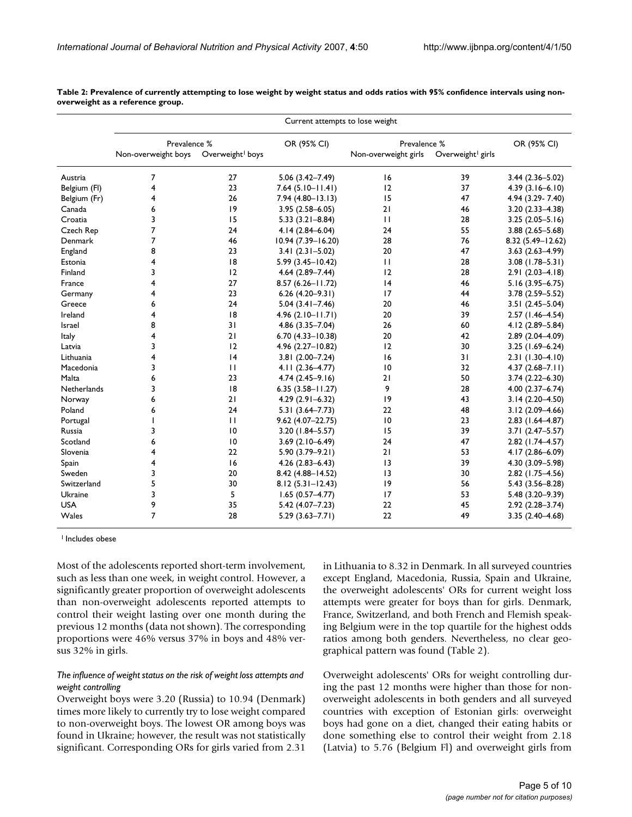|              | Current attempts to lose weight |                              |                        |                      |                               |                     |
|--------------|---------------------------------|------------------------------|------------------------|----------------------|-------------------------------|---------------------|
|              | Prevalence %                    |                              | OR (95% CI)            | Prevalence %         |                               | OR (95% CI)         |
|              | Non-overweight boys             | Overweight <sup>1</sup> boys |                        | Non-overweight girls | Overweight <sup>1</sup> girls |                     |
| Austria      | 7                               | 27                           | $5.06(3.42 - 7.49)$    | 16                   | 39                            | $3.44(2.36 - 5.02)$ |
| Belgium (FI) | 4                               | 23                           | $7.64(5.10 - 11.41)$   | 12                   | 37                            | $4.39(3.16 - 6.10)$ |
| Belgium (Fr) | 4                               | 26                           | 7.94 (4.80-13.13)      | 15                   | 47                            | 4.94 (3.29 - 7.40)  |
| Canada       | 6                               | 9                            | $3.95(2.58 - 6.05)$    | 21                   | 46                            | $3.20(2.33 - 4.38)$ |
| Croatia      | 3                               | 15                           | $5.33(3.21 - 8.84)$    | П                    | 28                            | $3.25(2.05 - 5.16)$ |
| Czech Rep    | 7                               | 24                           | 4.14 (2.84-6.04)       | 24                   | 55                            | $3.88(2.65 - 5.68)$ |
| Denmark      | 7                               | 46                           | 10.94 (7.39-16.20)     | 28                   | 76                            | 8.32 (5.49-12.62)   |
| England      | 8                               | 23                           | $3.41(2.31 - 5.02)$    | 20                   | 47                            | $3.63(2.63 - 4.99)$ |
| Estonia      | 4                               | 18                           | 5.99 (3.45-10.42)      | $\mathbf{H}$         | 28                            | $3.08$ (1.78-5.31)  |
| Finland      | 3                               | 12                           | $4.64(2.89 - 7.44)$    | 12                   | 28                            | $2.91(2.03 - 4.18)$ |
| France       | 4                               | 27                           | $8.57(6.26 - 11.72)$   | 4                    | 46                            | $5.16(3.95 - 6.75)$ |
| Germany      | 4                               | 23                           | $6.26$ $(4.20 - 9.31)$ | 17                   | 44                            | $3.78(2.59 - 5.52)$ |
| Greece       | 6                               | 24                           | $5.04(3.41 - 7.46)$    | 20                   | 46                            | $3.51(2.45 - 5.04)$ |
| Ireland      | 4                               | 18                           | $4.96(2.10 - 11.71)$   | 20                   | 39                            | $2.57$ (1.46-4.54)  |
| Israel       | 8                               | 31                           | 4.86 (3.35-7.04)       | 26                   | 60                            | 4.12 (2.89-5.84)    |
| Italy        | 4                               | 21                           | 6.70 (4.33-10.38)      | 20                   | 42                            | $2.89(2.04 - 4.09)$ |
| Latvia       | 3                               | 12                           | 4.96 (2.27-10.82)      | 12                   | 30                            | $3.25$ (1.69-6.24)  |
| Lithuania    | 4                               | 4                            | $3.81(2.00 - 7.24)$    | 16                   | 31                            | $2.31(1.30-4.10)$   |
| Macedonia    | 3                               | $\mathbf{H}$                 | $4.11(2.36-4.77)$      | 0                    | 32                            | $4.37(2.68 - 7.11)$ |
| Malta        | 6                               | 23                           | $4.74(2.45-9.16)$      | 21                   | 50                            | $3.74(2.22 - 6.30)$ |
| Netherlands  | 3                               | 18                           | $6.35(3.58 - 11.27)$   | 9                    | 28                            | $4.00(2.37 - 6.74)$ |
| Norway       | 6                               | 21                           | 4.29 (2.91-6.32)       | 9                    | 43                            | 3.14 (2.20-4.50)    |
| Poland       | 6                               | 24                           | $5.31(3.64 - 7.73)$    | 22                   | 48                            | $3.12(2.09 - 4.66)$ |
| Portugal     |                                 | $\mathbf{H}$                 | 9.62 (4.07-22.75)      | 0                    | 23                            | $2.83$ (1.64-4.87)  |
| Russia       | 3                               | 10                           | 3.20 (1.84-5.57)       | 15                   | 39                            | $3.71(2.47 - 5.57)$ |
| Scotland     | 6                               | 10                           | $3.69(2.10 - 6.49)$    | 24                   | 47                            | 2.82 (1.74-4.57)    |
| Slovenia     | 4                               | 22                           | 5.90 (3.79-9.21)       | 21                   | 53                            | 4.17 (2.86-6.09)    |
| Spain        | 4                               | 16                           | $4.26(2.83 - 6.43)$    | 3                    | 39                            | 4.30 (3.09-5.98)    |
| Sweden       | 3                               | 20                           | 8.42 (4.88-14.52)      | 3                    | 30                            | $2.82$ (1.75-4.56)  |
| Switzerland  | 5                               | 30                           | $8.12(5.31 - 12.43)$   | 9                    | 56                            | $5.43(3.56 - 8.28)$ |
| Ukraine      | 3                               | 5                            | $1.65(0.57 - 4.77)$    | 17                   | 53                            | $5.48(3.20 - 9.39)$ |
| <b>USA</b>   | 9                               | 35                           | $5.42(4.07 - 7.23)$    | 22                   | 45                            | $2.92(2.28 - 3.74)$ |
| Wales        | 7                               | 28                           | $5.29(3.63 - 7.71)$    | 22                   | 49                            | $3.35(2.40-4.68)$   |

**Table 2: Prevalence of currently attempting to lose weight by weight status and odds ratios with 95% confidence intervals using nonoverweight as a reference group.**

1 Includes obese

Most of the adolescents reported short-term involvement, such as less than one week, in weight control. However, a significantly greater proportion of overweight adolescents than non-overweight adolescents reported attempts to control their weight lasting over one month during the previous 12 months (data not shown). The corresponding proportions were 46% versus 37% in boys and 48% versus 32% in girls.

### *The influence of weight status on the risk of weight loss attempts and weight controlling*

Overweight boys were 3.20 (Russia) to 10.94 (Denmark) times more likely to currently try to lose weight compared to non-overweight boys. The lowest OR among boys was found in Ukraine; however, the result was not statistically significant. Corresponding ORs for girls varied from 2.31

in Lithuania to 8.32 in Denmark. In all surveyed countries except England, Macedonia, Russia, Spain and Ukraine, the overweight adolescents' ORs for current weight loss attempts were greater for boys than for girls. Denmark, France, Switzerland, and both French and Flemish speaking Belgium were in the top quartile for the highest odds ratios among both genders. Nevertheless, no clear geographical pattern was found (Table 2).

Overweight adolescents' ORs for weight controlling during the past 12 months were higher than those for nonoverweight adolescents in both genders and all surveyed countries with exception of Estonian girls: overweight boys had gone on a diet, changed their eating habits or done something else to control their weight from 2.18 (Latvia) to 5.76 (Belgium Fl) and overweight girls from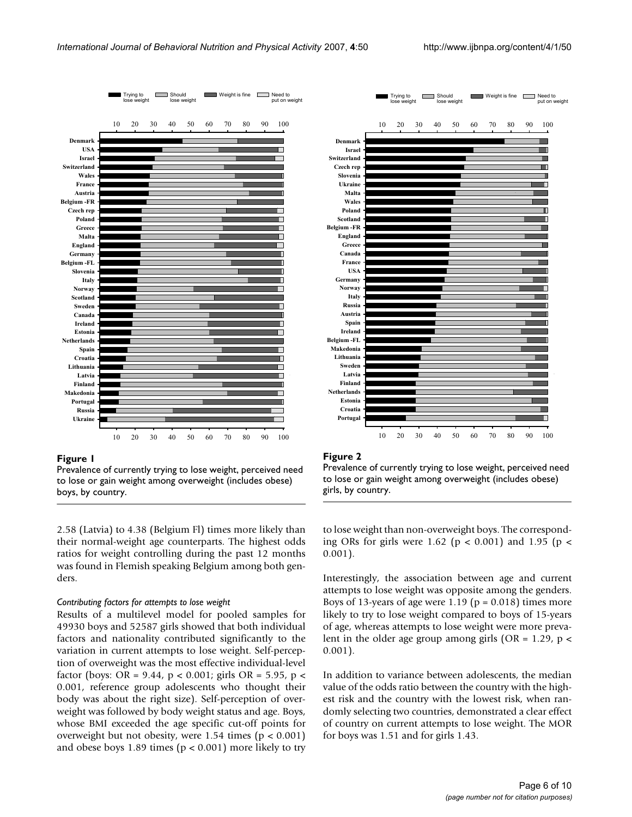

#### Figure I

Prevalence of currently trying to lose weight, perceived need to lose or gain weight among overweight (includes obese) boys, by country.

2.58 (Latvia) to 4.38 (Belgium Fl) times more likely than their normal-weight age counterparts. The highest odds ratios for weight controlling during the past 12 months was found in Flemish speaking Belgium among both genders.

#### *Contributing factors for attempts to lose weight*

Results of a multilevel model for pooled samples for 49930 boys and 52587 girls showed that both individual factors and nationality contributed significantly to the variation in current attempts to lose weight. Self-perception of overweight was the most effective individual-level factor (boys: OR = 9.44,  $p < 0.001$ ; girls OR = 5.95,  $p <$ 0.001, reference group adolescents who thought their body was about the right size). Self-perception of overweight was followed by body weight status and age. Boys, whose BMI exceeded the age specific cut-off points for overweight but not obesity, were 1.54 times ( $p < 0.001$ ) and obese boys 1.89 times ( $p < 0.001$ ) more likely to try



#### **Figure 2**

Prevalence of currently trying to lose weight, perceived need to lose or gain weight among overweight (includes obese) girls, by country.

to lose weight than non-overweight boys. The corresponding ORs for girls were 1.62 ( $p < 0.001$ ) and 1.95 ( $p <$ 0.001).

Interestingly, the association between age and current attempts to lose weight was opposite among the genders. Boys of 13-years of age were  $1.19$  ( $p = 0.018$ ) times more likely to try to lose weight compared to boys of 15-years of age, whereas attempts to lose weight were more prevalent in the older age group among girls (OR =  $1.29$ , p < 0.001).

In addition to variance between adolescents, the median value of the odds ratio between the country with the highest risk and the country with the lowest risk, when randomly selecting two countries, demonstrated a clear effect of country on current attempts to lose weight. The MOR for boys was 1.51 and for girls 1.43.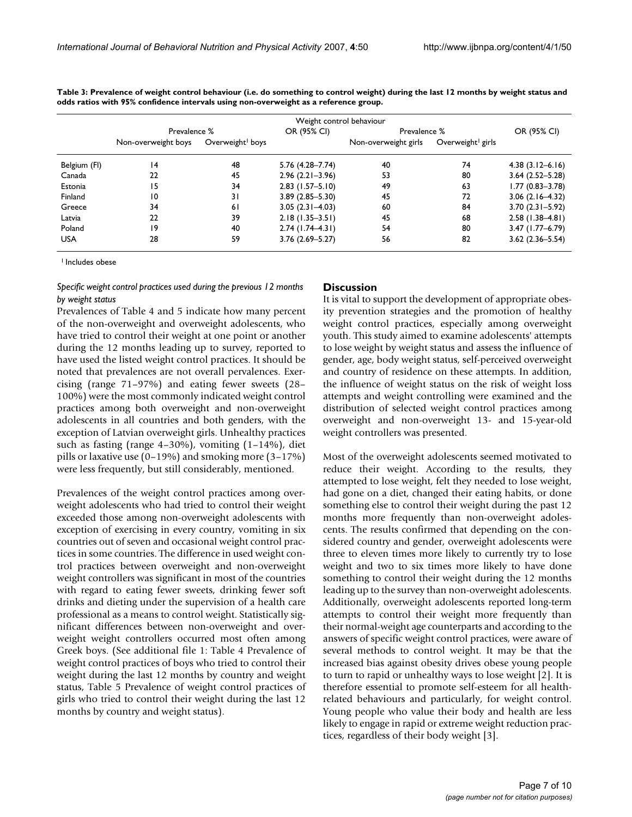|              | Weight control behaviour |                              |                     |                      |                               |                     |
|--------------|--------------------------|------------------------------|---------------------|----------------------|-------------------------------|---------------------|
|              | Prevalence %             |                              | OR (95% CI)         | Prevalence %         | OR (95% CI)                   |                     |
|              | Non-overweight boys      | Overweight <sup>1</sup> boys |                     | Non-overweight girls | Overweight <sup>1</sup> girls |                     |
| Belgium (FI) | 4                        | 48                           | $5.76(4.28 - 7.74)$ | 40                   | 74                            | $4.38(3.12 - 6.16)$ |
| Canada       | 22                       | 45                           | $2.96(2.21 - 3.96)$ | 53                   | 80                            | $3.64(2.52 - 5.28)$ |
| Estonia      | 15                       | 34                           | $2.83$ (1.57-5.10)  | 49                   | 63                            | $1.77(0.83 - 3.78)$ |
| Finland      | 10                       | 31                           | $3.89(2.85 - 5.30)$ | 45                   | 72                            | $3.06(2.16 - 4.32)$ |
| Greece       | 34                       | 61                           | $3.05(2.31 - 4.03)$ | 60                   | 84                            | $3.70(2.31 - 5.92)$ |
| Latvia       | 22                       | 39                           | $2.18(1.35 - 3.51)$ | 45                   | 68                            | $2.58(1.38 - 4.81)$ |
| Poland       | 19                       | 40                           | $2.74(1.74-4.31)$   | 54                   | 80                            | $3.47$ (1.77–6.79)  |
| <b>USA</b>   | 28                       | 59                           | $3.76(2.69 - 5.27)$ | 56                   | 82                            | $3.62(2.36 - 5.54)$ |

**Table 3: Prevalence of weight control behaviour (i.e. do something to control weight) during the last 12 months by weight status and odds ratios with 95% confidence intervals using non-overweight as a reference group.**

1 Includes obese

### *Specific weight control practices used during the previous 12 months by weight status*

### **Discussion**

Prevalences of Table 4 and 5 indicate how many percent of the non-overweight and overweight adolescents, who have tried to control their weight at one point or another during the 12 months leading up to survey, reported to have used the listed weight control practices. It should be noted that prevalences are not overall pervalences. Exercising (range 71–97%) and eating fewer sweets (28– 100%) were the most commonly indicated weight control practices among both overweight and non-overweight adolescents in all countries and both genders, with the exception of Latvian overweight girls. Unhealthy practices such as fasting (range 4–30%), vomiting (1–14%), diet pills or laxative use (0–19%) and smoking more (3–17%) were less frequently, but still considerably, mentioned.

Prevalences of the weight control practices among overweight adolescents who had tried to control their weight exceeded those among non-overweight adolescents with exception of exercising in every country, vomiting in six countries out of seven and occasional weight control practices in some countries. The difference in used weight control practices between overweight and non-overweight weight controllers was significant in most of the countries with regard to eating fewer sweets, drinking fewer soft drinks and dieting under the supervision of a health care professional as a means to control weight. Statistically significant differences between non-overweight and overweight weight controllers occurred most often among Greek boys. (See additional file 1: Table 4 Prevalence of weight control practices of boys who tried to control their weight during the last 12 months by country and weight status, Table 5 Prevalence of weight control practices of girls who tried to control their weight during the last 12 months by country and weight status).

It is vital to support the development of appropriate obesity prevention strategies and the promotion of healthy weight control practices, especially among overweight youth. This study aimed to examine adolescents' attempts to lose weight by weight status and assess the influence of gender, age, body weight status, self-perceived overweight and country of residence on these attempts. In addition, the influence of weight status on the risk of weight loss attempts and weight controlling were examined and the distribution of selected weight control practices among overweight and non-overweight 13- and 15-year-old weight controllers was presented.

Most of the overweight adolescents seemed motivated to reduce their weight. According to the results, they attempted to lose weight, felt they needed to lose weight, had gone on a diet, changed their eating habits, or done something else to control their weight during the past 12 months more frequently than non-overweight adolescents. The results confirmed that depending on the considered country and gender, overweight adolescents were three to eleven times more likely to currently try to lose weight and two to six times more likely to have done something to control their weight during the 12 months leading up to the survey than non-overweight adolescents. Additionally, overweight adolescents reported long-term attempts to control their weight more frequently than their normal-weight age counterparts and according to the answers of specific weight control practices, were aware of several methods to control weight. It may be that the increased bias against obesity drives obese young people to turn to rapid or unhealthy ways to lose weight [2]. It is therefore essential to promote self-esteem for all healthrelated behaviours and particularly, for weight control. Young people who value their body and health are less likely to engage in rapid or extreme weight reduction practices, regardless of their body weight [3].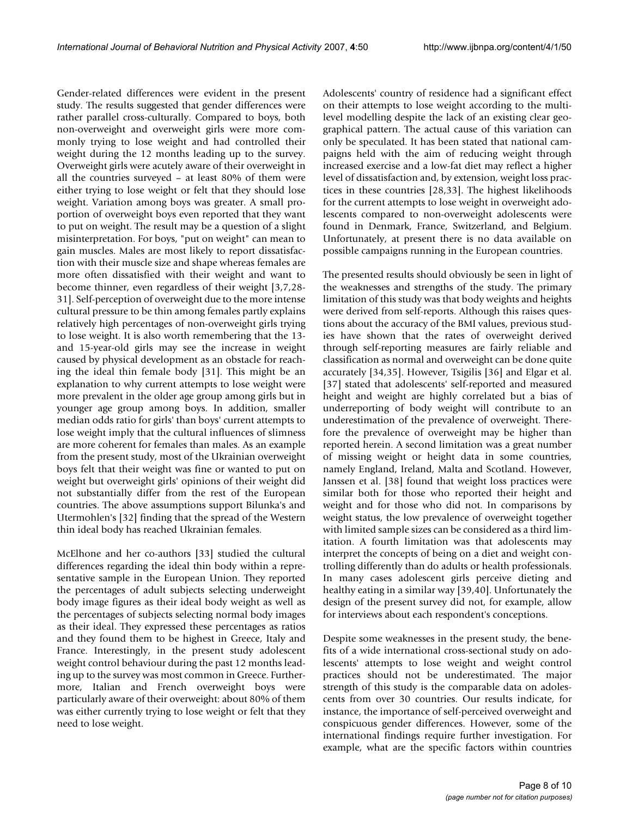Gender-related differences were evident in the present study. The results suggested that gender differences were rather parallel cross-culturally. Compared to boys, both non-overweight and overweight girls were more commonly trying to lose weight and had controlled their weight during the 12 months leading up to the survey. Overweight girls were acutely aware of their overweight in all the countries surveyed – at least 80% of them were either trying to lose weight or felt that they should lose weight. Variation among boys was greater. A small proportion of overweight boys even reported that they want to put on weight. The result may be a question of a slight misinterpretation. For boys, "put on weight" can mean to gain muscles. Males are most likely to report dissatisfaction with their muscle size and shape whereas females are more often dissatisfied with their weight and want to become thinner, even regardless of their weight [3,7,28- 31]. Self-perception of overweight due to the more intense cultural pressure to be thin among females partly explains relatively high percentages of non-overweight girls trying to lose weight. It is also worth remembering that the 13 and 15-year-old girls may see the increase in weight caused by physical development as an obstacle for reaching the ideal thin female body [31]. This might be an explanation to why current attempts to lose weight were more prevalent in the older age group among girls but in younger age group among boys. In addition, smaller median odds ratio for girls' than boys' current attempts to lose weight imply that the cultural influences of slimness are more coherent for females than males. As an example from the present study, most of the Ukrainian overweight boys felt that their weight was fine or wanted to put on weight but overweight girls' opinions of their weight did not substantially differ from the rest of the European countries. The above assumptions support Bilunka's and Utermohlen's [32] finding that the spread of the Western thin ideal body has reached Ukrainian females.

McElhone and her co-authors [33] studied the cultural differences regarding the ideal thin body within a representative sample in the European Union. They reported the percentages of adult subjects selecting underweight body image figures as their ideal body weight as well as the percentages of subjects selecting normal body images as their ideal. They expressed these percentages as ratios and they found them to be highest in Greece, Italy and France. Interestingly, in the present study adolescent weight control behaviour during the past 12 months leading up to the survey was most common in Greece. Furthermore, Italian and French overweight boys were particularly aware of their overweight: about 80% of them was either currently trying to lose weight or felt that they need to lose weight.

Adolescents' country of residence had a significant effect on their attempts to lose weight according to the multilevel modelling despite the lack of an existing clear geographical pattern. The actual cause of this variation can only be speculated. It has been stated that national campaigns held with the aim of reducing weight through increased exercise and a low-fat diet may reflect a higher level of dissatisfaction and, by extension, weight loss practices in these countries [28,33]. The highest likelihoods for the current attempts to lose weight in overweight adolescents compared to non-overweight adolescents were found in Denmark, France, Switzerland, and Belgium. Unfortunately, at present there is no data available on possible campaigns running in the European countries.

The presented results should obviously be seen in light of the weaknesses and strengths of the study. The primary limitation of this study was that body weights and heights were derived from self-reports. Although this raises questions about the accuracy of the BMI values, previous studies have shown that the rates of overweight derived through self-reporting measures are fairly reliable and classification as normal and overweight can be done quite accurately [34,35]. However, Tsigilis [36] and Elgar et al. [37] stated that adolescents' self-reported and measured height and weight are highly correlated but a bias of underreporting of body weight will contribute to an underestimation of the prevalence of overweight. Therefore the prevalence of overweight may be higher than reported herein. A second limitation was a great number of missing weight or height data in some countries, namely England, Ireland, Malta and Scotland. However, Janssen et al. [38] found that weight loss practices were similar both for those who reported their height and weight and for those who did not. In comparisons by weight status, the low prevalence of overweight together with limited sample sizes can be considered as a third limitation. A fourth limitation was that adolescents may interpret the concepts of being on a diet and weight controlling differently than do adults or health professionals. In many cases adolescent girls perceive dieting and healthy eating in a similar way [39,40]. Unfortunately the design of the present survey did not, for example, allow for interviews about each respondent's conceptions.

Despite some weaknesses in the present study, the benefits of a wide international cross-sectional study on adolescents' attempts to lose weight and weight control practices should not be underestimated. The major strength of this study is the comparable data on adolescents from over 30 countries. Our results indicate, for instance, the importance of self-perceived overweight and conspicuous gender differences. However, some of the international findings require further investigation. For example, what are the specific factors within countries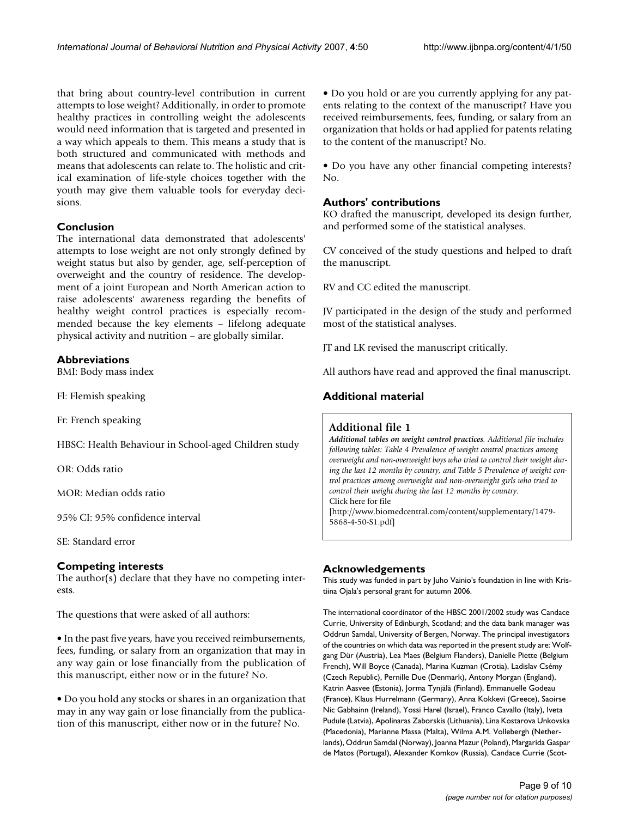that bring about country-level contribution in current attempts to lose weight? Additionally, in order to promote healthy practices in controlling weight the adolescents would need information that is targeted and presented in a way which appeals to them. This means a study that is both structured and communicated with methods and means that adolescents can relate to. The holistic and critical examination of life-style choices together with the youth may give them valuable tools for everyday decisions.

### **Conclusion**

The international data demonstrated that adolescents' attempts to lose weight are not only strongly defined by weight status but also by gender, age, self-perception of overweight and the country of residence. The development of a joint European and North American action to raise adolescents' awareness regarding the benefits of healthy weight control practices is especially recommended because the key elements – lifelong adequate physical activity and nutrition – are globally similar.

### **Abbreviations**

BMI: Body mass index

Fl: Flemish speaking

Fr: French speaking

HBSC: Health Behaviour in School-aged Children study

OR: Odds ratio

MOR: Median odds ratio

95% CI: 95% confidence interval

SE: Standard error

### **Competing interests**

The author(s) declare that they have no competing interests.

The questions that were asked of all authors:

• In the past five years, have you received reimbursements, fees, funding, or salary from an organization that may in any way gain or lose financially from the publication of this manuscript, either now or in the future? No.

• Do you hold any stocks or shares in an organization that may in any way gain or lose financially from the publication of this manuscript, either now or in the future? No.

• Do you hold or are you currently applying for any patents relating to the context of the manuscript? Have you received reimbursements, fees, funding, or salary from an organization that holds or had applied for patents relating to the content of the manuscript? No.

• Do you have any other financial competing interests? No.

### **Authors' contributions**

KO drafted the manuscript, developed its design further, and performed some of the statistical analyses.

CV conceived of the study questions and helped to draft the manuscript.

RV and CC edited the manuscript.

JV participated in the design of the study and performed most of the statistical analyses.

JT and LK revised the manuscript critically.

All authors have read and approved the final manuscript.

### **Additional material**

### **Additional file 1**

*Additional tables on weight control practices. Additional file includes following tables: Table 4 Prevalence of weight control practices among overweight and non-overweight boys who tried to control their weight during the last 12 months by country, and Table 5 Prevalence of weight control practices among overweight and non-overweight girls who tried to control their weight during the last 12 months by country.* Click here for file [\[http://www.biomedcentral.com/content/supplementary/1479-](http://www.biomedcentral.com/content/supplementary/1479-5868-4-50-S1.pdf)

5868-4-50-S1.pdf]

### **Acknowledgements**

This study was funded in part by Juho Vainio's foundation in line with Kristiina Ojala's personal grant for autumn 2006.

The international coordinator of the HBSC 2001/2002 study was Candace Currie, University of Edinburgh, Scotland; and the data bank manager was Oddrun Samdal, University of Bergen, Norway. The principal investigators of the countries on which data was reported in the present study are: Wolfgang Dür (Austria), Lea Maes (Belgium Flanders), Danielle Piette (Belgium French), Will Boyce (Canada), Marina Kuzman (Crotia), Ladislav Csémy (Czech Republic), Pernille Due (Denmark), Antony Morgan (England), Katrin Aasvee (Estonia), Jorma Tynjälä (Finland), Emmanuelle Godeau (France), Klaus Hurrelmann (Germany), Anna Kokkevi (Greece), Saoirse Nic Gabhainn (Ireland), Yossi Harel (Israel), Franco Cavallo (Italy), Iveta Pudule (Latvia), Apolinaras Zaborskis (Lithuania), Lina Kostarova Unkovska (Macedonia), Marianne Massa (Malta), Wilma A.M. Vollebergh (Netherlands), Oddrun Samdal (Norway), Joanna Mazur (Poland), Margarida Gaspar de Matos (Portugal), Alexander Komkov (Russia), Candace Currie (Scot